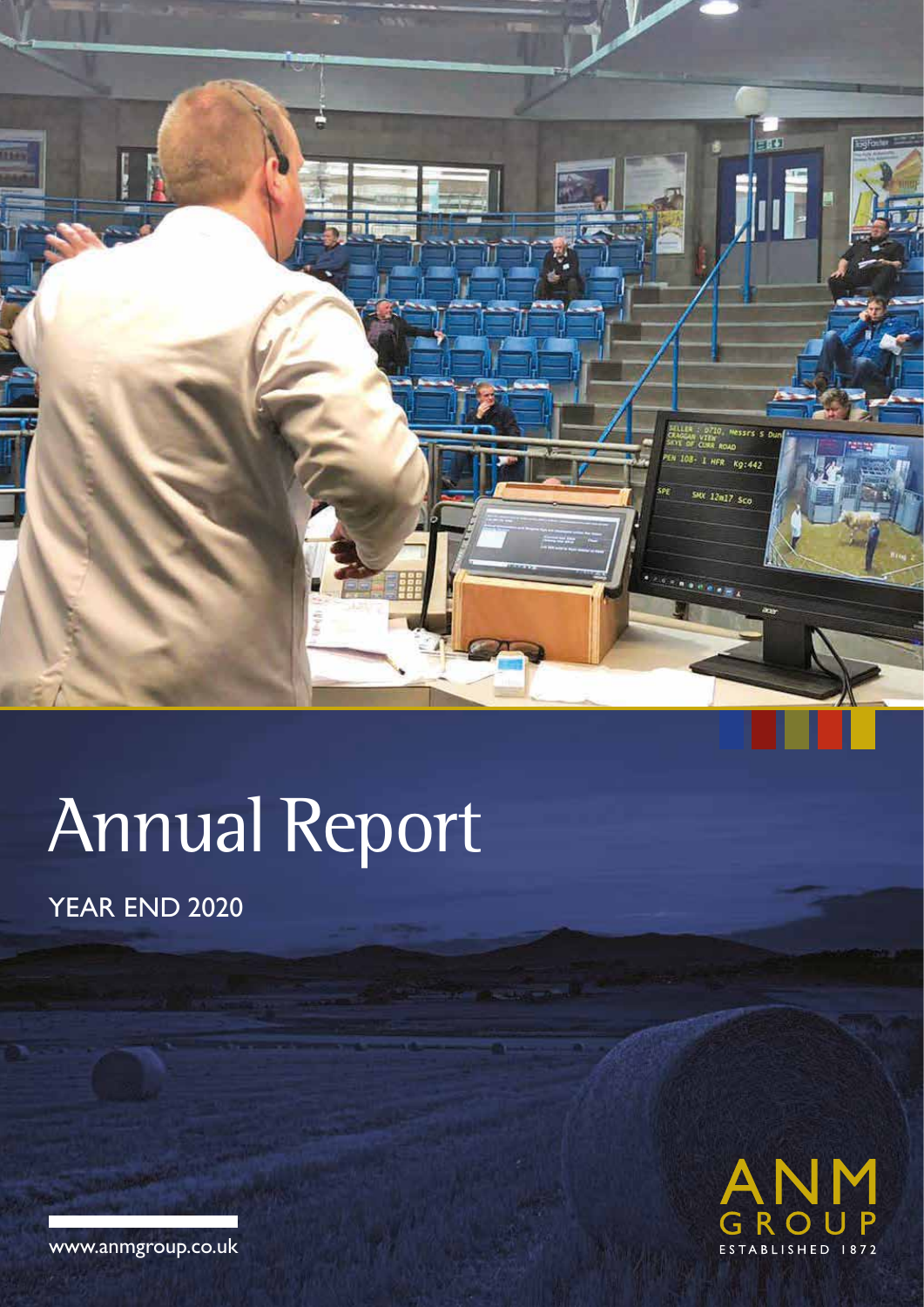

# Annual Report

YEAR END 2020



www.anmgroup.co.uk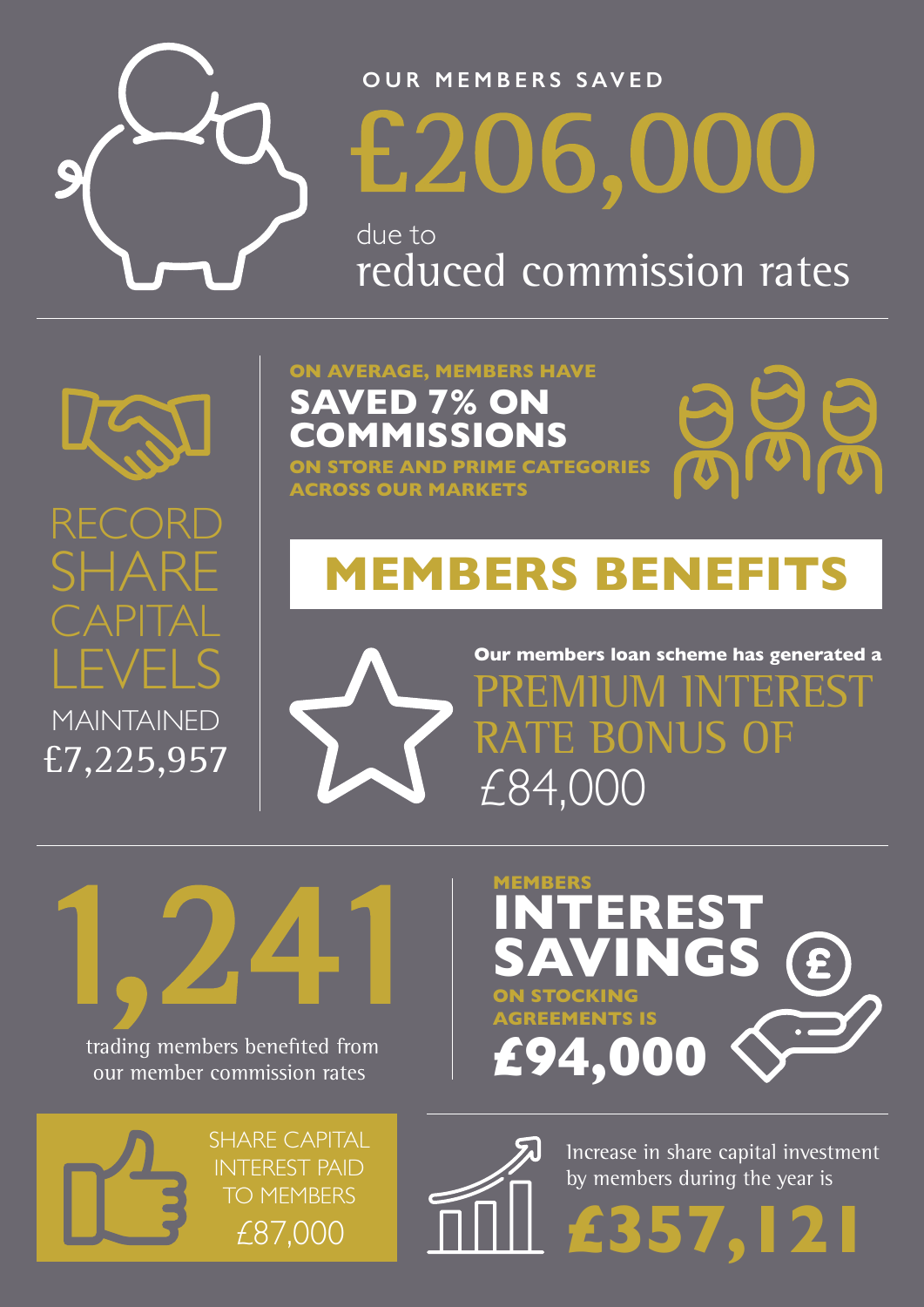

### **OUR MEMBERS SAVED**

£206,000

due to reduced commission rates



RECOR

SHARE

CAPITAL

LEVELS

MAINTAINED

£7,225,957

**ON AVERAGE, MEMBERS HAVE SAVED 7% ON OMMISSION** 

**ON STORE AND PRIME CATEGORIES ACROSS OUR MARKETS**

# **MEMBERS BENEFITS**



**Our members loan scheme has generated a**  PREMIUM INTEREST RATE BONUS OF £84,000

1,241 trading members benefited from our member commission rates





**£357,121** 



Increase in share capital investment by members during the year is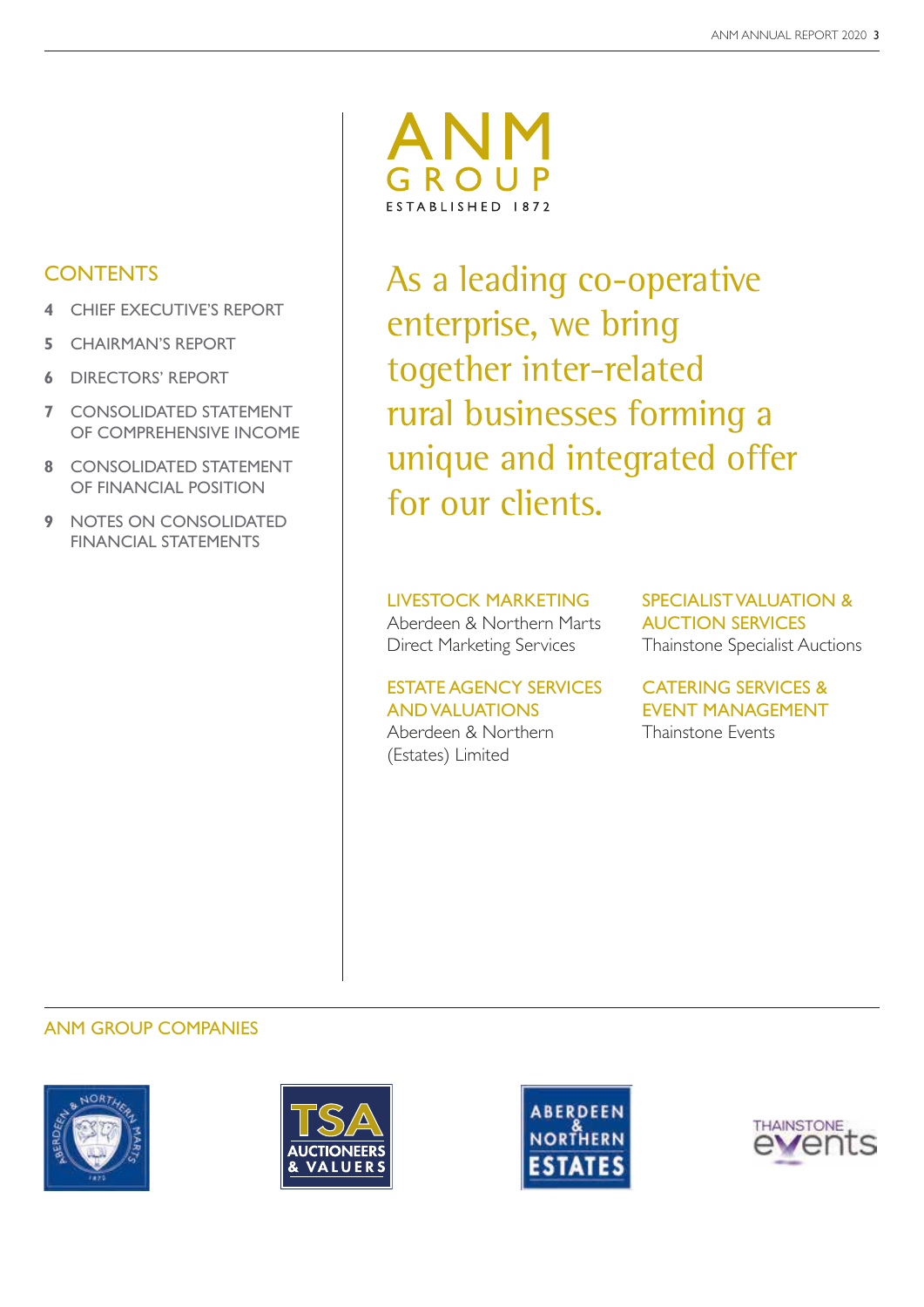### **CONTENTS**

- **4** CHIEF EXECUTIVE'S REPORT
- **5** CHAIRMAN'S REPORT
- **6** DIRECTORS' REPORT
- **7** CONSOLIDATED STATEMENT OF COMPREHENSIVE INCOME
- **8** CONSOLIDATED STATEMENT OF FINANCIAL POSITION
- **9** NOTES ON CONSOLIDATED FINANCIAL STATEMENTS



As a leading co-operative enterprise, we bring together inter-related rural businesses forming a unique and integrated offer for our clients.

### LIVESTOCK MARKETING

Aberdeen & Northern Marts Direct Marketing Services

### ESTATE AGENCY SERVICES AND VALUATIONS

Aberdeen & Northern (Estates) Limited

SPECIALIST VALUATION & AUCTION SERVICES Thainstone Specialist Auctions

CATERING SERVICES & EVENT MANAGEMENT Thainstone Events

### ANM GROUP COMPANIES







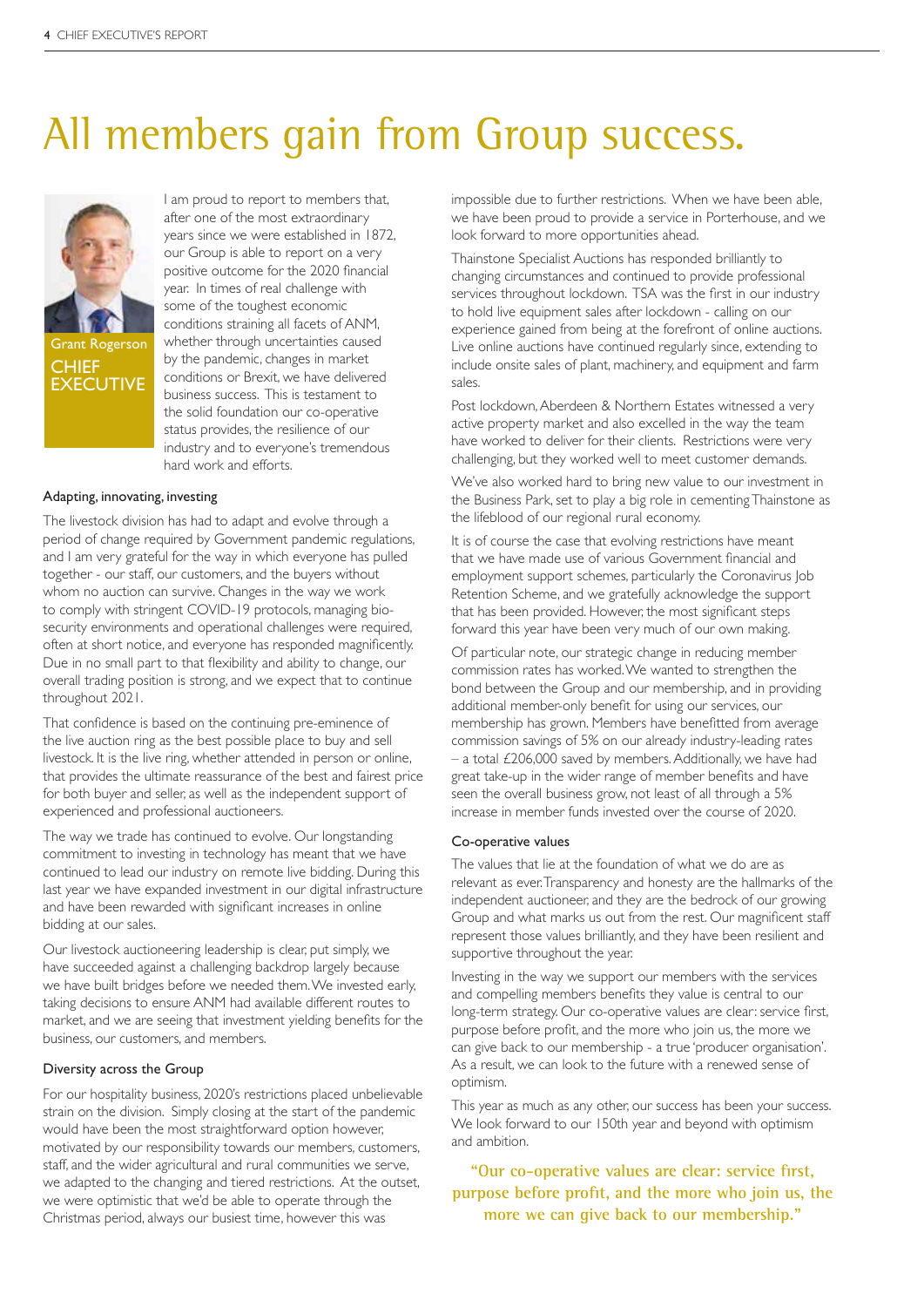# All members gain from Group success.



I am proud to report to members that, after one of the most extraordinary years since we were established in 1872, our Group is able to report on a very positive outcome for the 2020 financial year. In times of real challenge with some of the toughest economic conditions straining all facets of ANM, whether through uncertainties caused by the pandemic, changes in market conditions or Brexit, we have delivered business success. This is testament to the solid foundation our co-operative status provides, the resilience of our industry and to everyone's tremendous hard work and efforts.

### Adapting, innovating, investing

The livestock division has had to adapt and evolve through a period of change required by Government pandemic regulations, and I am very grateful for the way in which everyone has pulled together - our staff, our customers, and the buyers without whom no auction can survive. Changes in the way we work to comply with stringent COVID-19 protocols, managing biosecurity environments and operational challenges were required, often at short notice, and everyone has responded magnificently. Due in no small part to that flexibility and ability to change, our overall trading position is strong, and we expect that to continue throughout 2021.

That confidence is based on the continuing pre-eminence of the live auction ring as the best possible place to buy and sell livestock. It is the live ring, whether attended in person or online, that provides the ultimate reassurance of the best and fairest price for both buyer and seller, as well as the independent support of experienced and professional auctioneers.

The way we trade has continued to evolve. Our longstanding commitment to investing in technology has meant that we have continued to lead our industry on remote live bidding. During this last year we have expanded investment in our digital infrastructure and have been rewarded with significant increases in online bidding at our sales.

Our livestock auctioneering leadership is clear, put simply, we have succeeded against a challenging backdrop largely because we have built bridges before we needed them. We invested early, taking decisions to ensure ANM had available different routes to market, and we are seeing that investment yielding benefits for the business, our customers, and members.

#### Diversity across the Group

For our hospitality business, 2020's restrictions placed unbelievable strain on the division. Simply closing at the start of the pandemic would have been the most straightforward option however, motivated by our responsibility towards our members, customers, staff, and the wider agricultural and rural communities we serve, we adapted to the changing and tiered restrictions. At the outset, we were optimistic that we'd be able to operate through the Christmas period, always our busiest time, however this was

impossible due to further restrictions. When we have been able, we have been proud to provide a service in Porterhouse, and we look forward to more opportunities ahead.

Thainstone Specialist Auctions has responded brilliantly to changing circumstances and continued to provide professional services throughout lockdown. TSA was the first in our industry to hold live equipment sales after lockdown - calling on our experience gained from being at the forefront of online auctions. Live online auctions have continued regularly since, extending to include onsite sales of plant, machinery, and equipment and farm sales.

Post lockdown, Aberdeen & Northern Estates witnessed a very active property market and also excelled in the way the team have worked to deliver for their clients. Restrictions were very challenging, but they worked well to meet customer demands.

We've also worked hard to bring new value to our investment in the Business Park, set to play a big role in cementing Thainstone as the lifeblood of our regional rural economy.

It is of course the case that evolving restrictions have meant that we have made use of various Government financial and employment support schemes, particularly the Coronavirus Job Retention Scheme, and we gratefully acknowledge the support that has been provided. However, the most significant steps forward this year have been very much of our own making.

Of particular note, our strategic change in reducing member commission rates has worked. We wanted to strengthen the bond between the Group and our membership, and in providing additional member-only benefit for using our services, our membership has grown. Members have benefitted from average commission savings of 5% on our already industry-leading rates – a total £206,000 saved by members. Additionally, we have had great take-up in the wider range of member benefits and have seen the overall business grow, not least of all through a 5% increase in member funds invested over the course of 2020.

### Co-operative values

The values that lie at the foundation of what we do are as relevant as ever. Transparency and honesty are the hallmarks of the independent auctioneer, and they are the bedrock of our growing Group and what marks us out from the rest. Our magnificent staff represent those values brilliantly, and they have been resilient and supportive throughout the year.

Investing in the way we support our members with the services and compelling members benefits they value is central to our long-term strategy. Our co-operative values are clear: service first, purpose before profit, and the more who join us, the more we can give back to our membership - a true 'producer organisation'. As a result, we can look to the future with a renewed sense of optimism.

This year as much as any other, our success has been your success. We look forward to our 150th year and beyond with optimism and ambition.

**"Our co-operative values are clear: service first, purpose before profit, and the more who join us, the more we can give back to our membership."**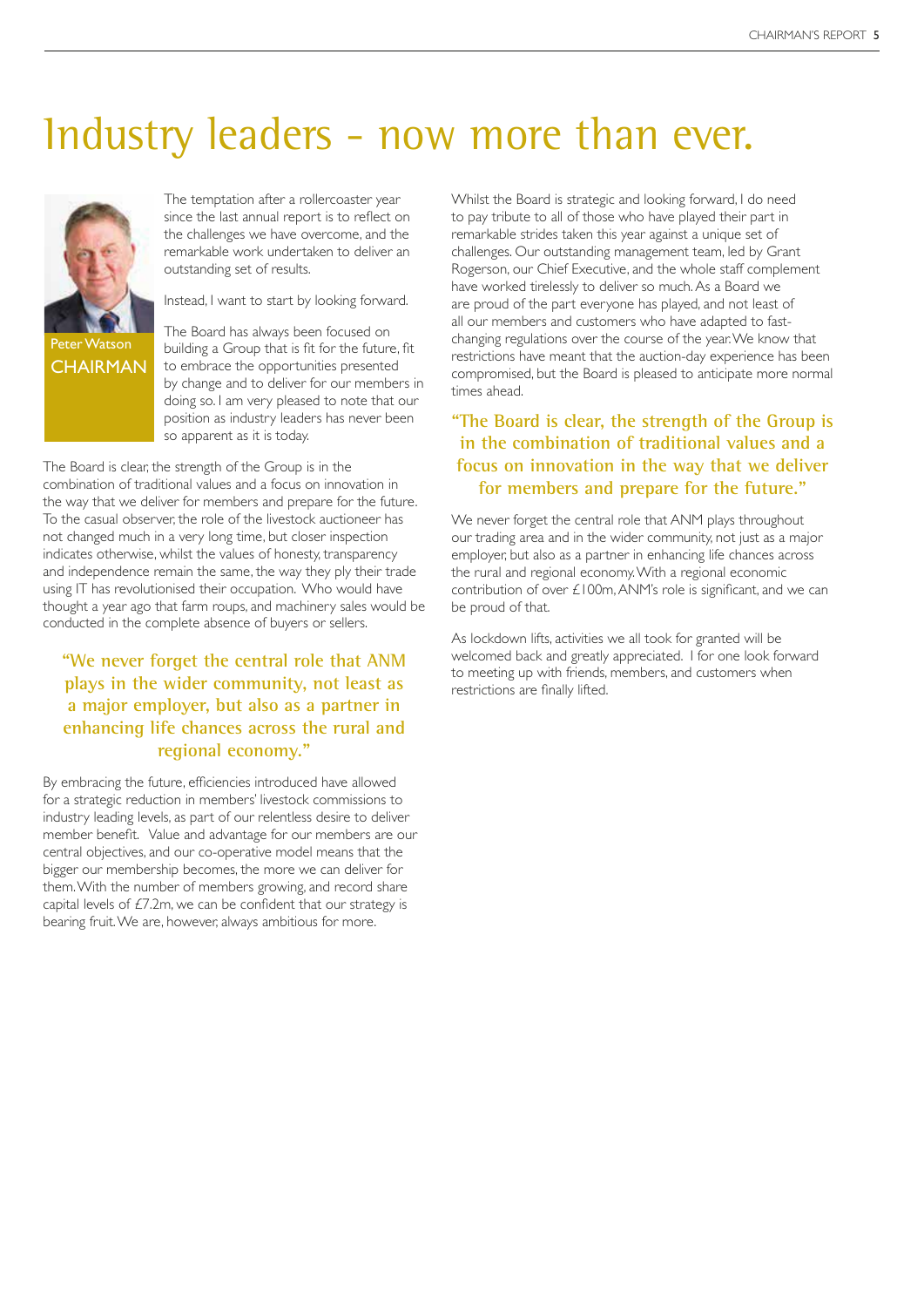# Industry leaders - now more than ever.



The temptation after a rollercoaster year since the last annual report is to reflect on the challenges we have overcome, and the remarkable work undertaken to deliver an outstanding set of results.

Instead, I want to start by looking forward.

The Board has always been focused on building a Group that is fit for the future, fit to embrace the opportunities presented by change and to deliver for our members in doing so. I am very pleased to note that our position as industry leaders has never been so apparent as it is today.

The Board is clear, the strength of the Group is in the combination of traditional values and a focus on innovation in the way that we deliver for members and prepare for the future. To the casual observer, the role of the livestock auctioneer has not changed much in a very long time, but closer inspection indicates otherwise, whilst the values of honesty, transparency and independence remain the same, the way they ply their trade using IT has revolutionised their occupation. Who would have thought a year ago that farm roups, and machinery sales would be conducted in the complete absence of buyers or sellers.

### **"We never forget the central role that ANM plays in the wider community, not least as a major employer, but also as a partner in enhancing life chances across the rural and regional economy."**

By embracing the future, efficiencies introduced have allowed for a strategic reduction in members' livestock commissions to industry leading levels, as part of our relentless desire to deliver member benefit. Value and advantage for our members are our central objectives, and our co-operative model means that the bigger our membership becomes, the more we can deliver for them. With the number of members growing, and record share capital levels of £7.2m, we can be confident that our strategy is bearing fruit. We are, however, always ambitious for more.

Whilst the Board is strategic and looking forward, I do need to pay tribute to all of those who have played their part in remarkable strides taken this year against a unique set of challenges. Our outstanding management team, led by Grant Rogerson, our Chief Executive, and the whole staff complement have worked tirelessly to deliver so much. As a Board we are proud of the part everyone has played, and not least of all our members and customers who have adapted to fastchanging regulations over the course of the year. We know that restrictions have meant that the auction-day experience has been compromised, but the Board is pleased to anticipate more normal times ahead.

### **"The Board is clear, the strength of the Group is in the combination of traditional values and a focus on innovation in the way that we deliver for members and prepare for the future."**

We never forget the central role that ANM plays throughout our trading area and in the wider community, not just as a major employer, but also as a partner in enhancing life chances across the rural and regional economy. With a regional economic contribution of over £100m, ANM's role is significant, and we can be proud of that.

As lockdown lifts, activities we all took for granted will be welcomed back and greatly appreciated. I for one look forward to meeting up with friends, members, and customers when restrictions are finally lifted.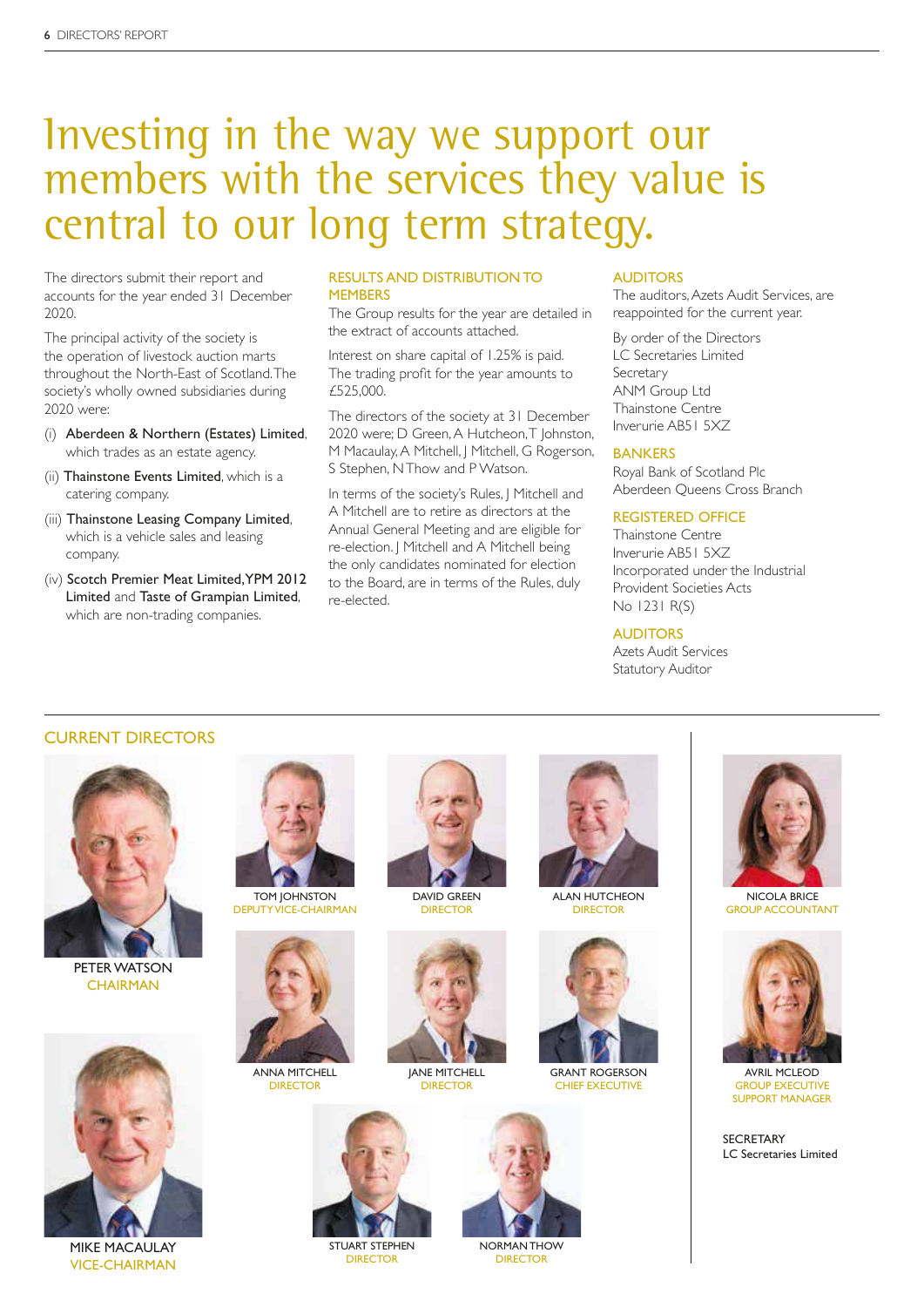### Investing in the way we support our members with the services they value is central to our long term strategy.

The directors submit their report and accounts for the year ended 31 December 2020.

The principal activity of the society is the operation of livestock auction marts throughout the North-East of Scotland. The society's wholly owned subsidiaries during 2020 were:

- (i) Aberdeen & Northern (Estates) Limited, which trades as an estate agency.
- (ii) Thainstone Events Limited, which is a catering company.
- (iii) Thainstone Leasing Company Limited, which is a vehicle sales and leasing company.
- (iv) Scotch Premier Meat Limited, YPM 2012 Limited and Taste of Grampian Limited, which are non-trading companies.

#### RESULTS AND DISTRIBUTION TO **MEMBERS**

The Group results for the year are detailed in the extract of accounts attached.

Interest on share capital of 1.25% is paid. The trading profit for the year amounts to £525,000.

The directors of the society at 31 December 2020 were; D Green, A Hutcheon, T Johnston, M Macaulay, A Mitchell, J Mitchell, G Rogerson, S Stephen, N Thow and P Watson.

In terms of the society's Rules, J Mitchell and A Mitchell are to retire as directors at the Annual General Meeting and are eligible for re-election. J Mitchell and A Mitchell being the only candidates nominated for election to the Board, are in terms of the Rules, duly re-elected.

#### ALIDITORS

The auditors, Azets Audit Services, are reappointed for the current year.

By order of the Directors LC Secretaries Limited Secretary ANM Group Ltd Thainstone Centre Inverurie AB51 5XZ

#### **BANKERS**

Royal Bank of Scotland Plc Aberdeen Queens Cross Branch

### REGISTERED OFFICE

Thainstone Centre Inverurie AB51 5XZ Incorporated under the Industrial Provident Societies Acts No 1231 R(S)

#### **AUDITORS**

Azets Audit Services Statutory Auditor

### CURRENT DIRECTORS



PETER WATSON **CHAIRMAN** 



DEPUTY VICE-CHAIRMAN



ANNA MITCHELL **DIRECTOR** 



DAVID GREEN **DIRECTOR** 

JANE MITCHELL **DIRECTOR** 



ALAN HUTCHEON **DIRECTOR** 



GRANT ROGERSON CHIEF EXECUTIVE



NICOLA BRICE GROUP ACCOUNTANT



AVRIL MCLEOD GROUP EXECUTIVE SUPPORT MANAGER

**SECRETARY** LC Secretaries Limited



MIKE MACAULAY VICE-CHAIRMAN



STUART STEPHEN DIRECTOR



NORMAN THOW DIRECTOR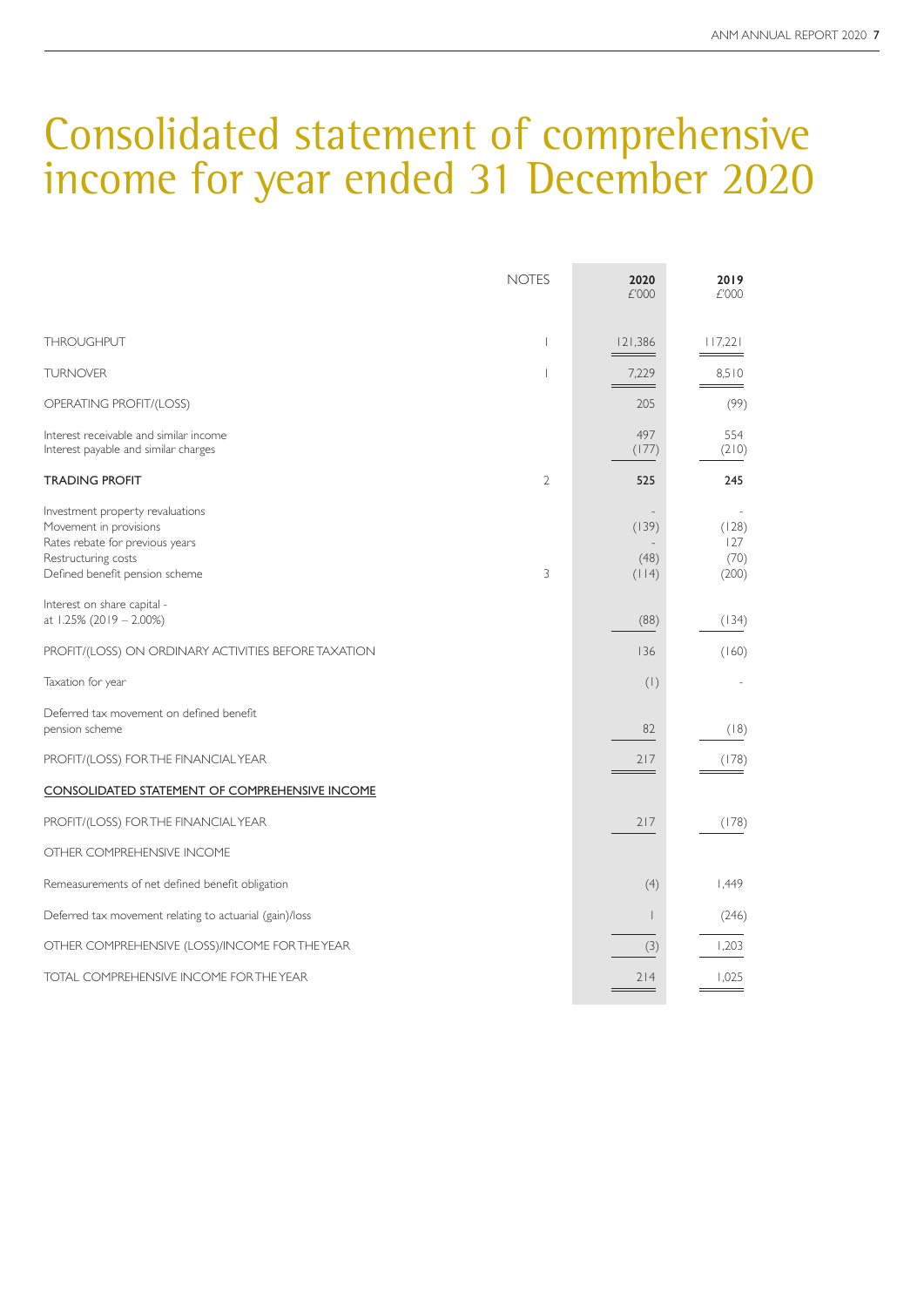### Consolidated statement of comprehensive income for year ended 31 December 2020

| <b>NOTES</b>                                                                                                                                                | 2020<br>£'000                                      | 2019<br>£'000                 |
|-------------------------------------------------------------------------------------------------------------------------------------------------------------|----------------------------------------------------|-------------------------------|
| <b>THROUGHPUT</b><br>$\mathbf{I}$                                                                                                                           | 121.386                                            | 117,221                       |
| <b>TURNOVER</b><br>I                                                                                                                                        | 7,229                                              | 8,510                         |
| OPERATING PROFIT/(LOSS)                                                                                                                                     | 205                                                | (99)                          |
| Interest receivable and similar income<br>Interest payable and similar charges                                                                              | 497<br>(177)                                       | 554<br>(210)                  |
| <b>TRADING PROFIT</b><br>$\mathcal{L}$                                                                                                                      | 525                                                | 245                           |
| Investment property revaluations<br>Movement in provisions<br>Rates rebate for previous years<br>Restructuring costs<br>Defined benefit pension scheme<br>3 | $\overline{\phantom{a}}$<br>(139)<br>(48)<br>(114) | (128)<br>127<br>(70)<br>(200) |
| Interest on share capital -<br>at 1.25% (2019 - 2.00%)                                                                                                      | (88)                                               | (134)                         |
| PROFIT/(LOSS) ON ORDINARY ACTIVITIES BEFORE TAXATION                                                                                                        | 136                                                | (160)                         |
| Taxation for year                                                                                                                                           | (1)                                                |                               |
| Deferred tax movement on defined benefit<br>pension scheme                                                                                                  | 82                                                 | (18)                          |
| PROFIT/(LOSS) FOR THE FINANCIAL YEAR                                                                                                                        | 217                                                | (178)                         |
| <b>CONSOLIDATED STATEMENT OF COMPREHENSIVE INCOME</b>                                                                                                       |                                                    |                               |
| PROFIT/(LOSS) FOR THE FINANCIAL YEAR                                                                                                                        | 217                                                | (178)                         |
| OTHER COMPREHENSIVE INCOME                                                                                                                                  |                                                    |                               |
| Remeasurements of net defined benefit obligation                                                                                                            | (4)                                                | 1,449                         |
| Deferred tax movement relating to actuarial (gain)/loss                                                                                                     | $\overline{\phantom{a}}$                           | (246)                         |
| OTHER COMPREHENSIVE (LOSS)/INCOME FOR THE YEAR                                                                                                              | (3)                                                | 1,203                         |
| TOTAL COMPREHENSIVE INCOME FOR THE YEAR                                                                                                                     | 214                                                | 1,025                         |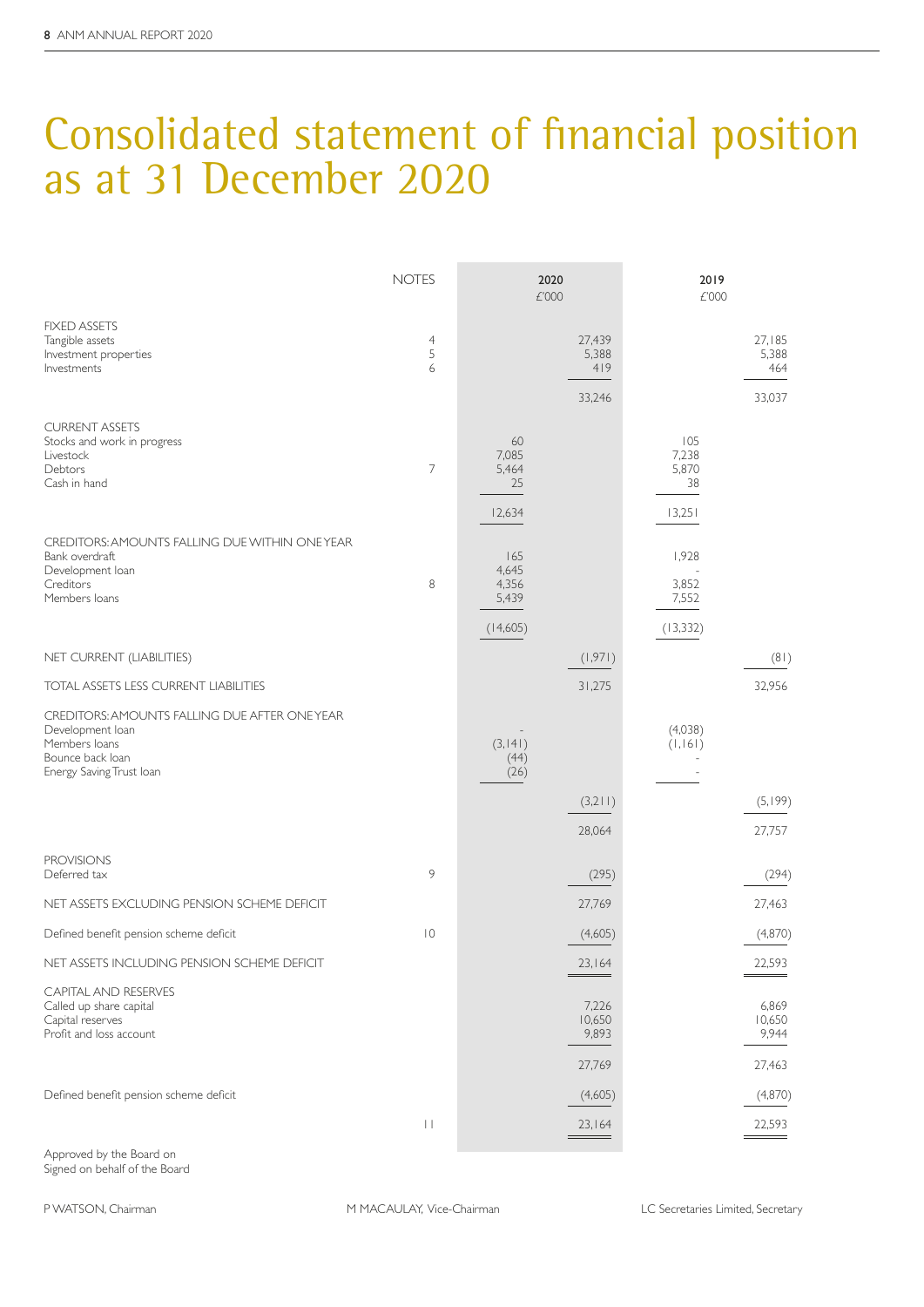# Consolidated statement of financial position as at 31 December 2020

|                                                                                                                                   | <b>NOTES</b>             | 2020<br>£'000                              |                                    | 2019<br>£'000                         |                                    |
|-----------------------------------------------------------------------------------------------------------------------------------|--------------------------|--------------------------------------------|------------------------------------|---------------------------------------|------------------------------------|
| <b>FIXED ASSETS</b><br>Tangible assets<br>Investment properties<br>Investments                                                    | $\overline{4}$<br>5<br>6 |                                            | 27,439<br>5,388<br>419<br>33,246   |                                       | 27,185<br>5,388<br>464<br>33,037   |
| <b>CURRENT ASSETS</b><br>Stocks and work in progress<br>Livestock<br>Debtors<br>Cash in hand                                      | $\overline{7}$           | 60<br>7,085<br>5,464<br>25<br>12,634       |                                    | 105<br>7,238<br>5,870<br>38<br>13,251 |                                    |
| CREDITORS: AMOUNTS FALLING DUE WITHIN ONE YEAR<br>Bank overdraft<br>Development loan<br>Creditors<br>Members loans                | 8                        | 165<br>4,645<br>4,356<br>5,439<br>(14,605) |                                    | 1,928<br>3,852<br>7,552<br>(13, 332)  |                                    |
| NET CURRENT (LIABILITIES)                                                                                                         |                          |                                            | (1,971)                            |                                       | (81)                               |
| TOTAL ASSETS LESS CURRENT LIABILITIES                                                                                             |                          |                                            | 31,275                             |                                       | 32,956                             |
| CREDITORS: AMOUNTS FALLING DUE AFTER ONEYEAR<br>Development loan<br>Members loans<br>Bounce back loan<br>Energy Saving Trust Ioan |                          | (3, 141)<br>(44)<br>(26)                   | (3,211)                            | (4,038)<br>(1, 161)                   | (5,199)                            |
| <b>PROVISIONS</b>                                                                                                                 |                          |                                            | 28,064                             |                                       | 27,757                             |
| Deferred tax                                                                                                                      | 9                        |                                            | (295)                              |                                       | (294)                              |
| NET ASSETS EXCLUDING PENSION SCHEME DEFICIT                                                                                       |                          |                                            | 27,769                             |                                       | 27,463                             |
| Defined benefit pension scheme deficit                                                                                            | $\overline{10}$          |                                            | (4,605)                            |                                       | (4,870)                            |
| NET ASSETS INCLUDING PENSION SCHEME DEFICIT                                                                                       |                          |                                            | 23,164                             |                                       | 22,593                             |
| <b>CAPITAL AND RESERVES</b><br>Called up share capital<br>Capital reserves<br>Profit and loss account                             |                          |                                            | 7,226<br>10,650<br>9,893<br>27,769 |                                       | 6,869<br>10,650<br>9,944<br>27,463 |
| Defined benefit pension scheme deficit                                                                                            |                          |                                            | (4,605)                            |                                       | (4,870)                            |
|                                                                                                                                   | $\left  \ \right $       |                                            | 23,164<br>$\qquad \qquad =$        |                                       | 22,593                             |

Approved by the Board on Signed on behalf of the Board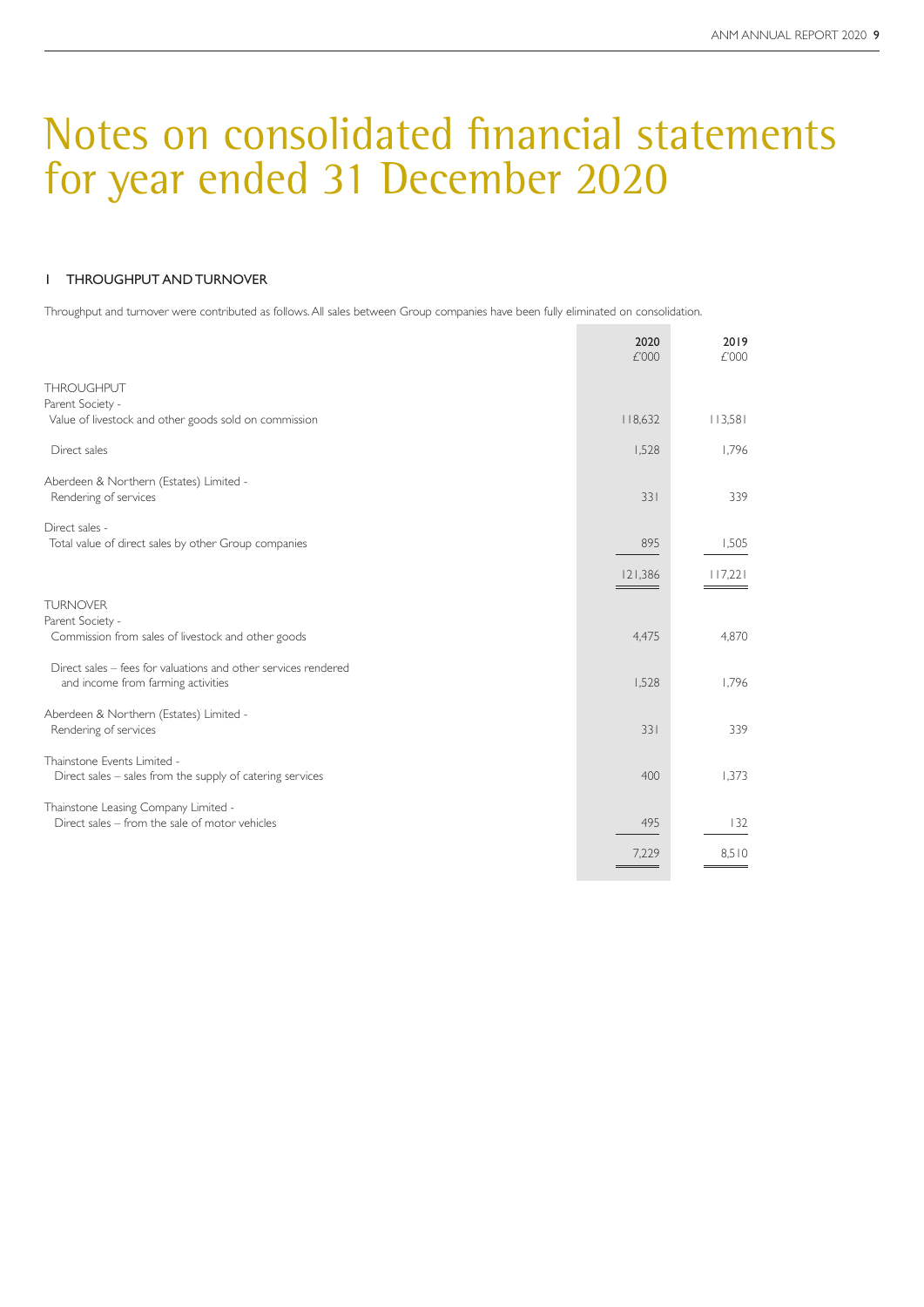### 1 THROUGHPUT AND TURNOVER

Throughput and turnover were contributed as follows. All sales between Group companies have been fully eliminated on consolidation.

|                                                                                        | 2020<br>£'000 | 2019<br>£'000 |
|----------------------------------------------------------------------------------------|---------------|---------------|
| <b>THROUGHPUT</b>                                                                      |               |               |
| Parent Society -                                                                       |               |               |
| Value of livestock and other goods sold on commission                                  | 118,632       | 113,581       |
| Direct sales                                                                           | 1,528         | 1,796         |
| Aberdeen & Northern (Estates) Limited -                                                |               |               |
| Rendering of services                                                                  | 331           | 339           |
| Direct sales -                                                                         |               |               |
| Total value of direct sales by other Group companies                                   | 895           | 1,505         |
|                                                                                        | 121,386       | 117,221       |
| <b>TURNOVER</b>                                                                        |               |               |
| Parent Society -                                                                       |               |               |
| Commission from sales of livestock and other goods                                     | 4,475         | 4,870         |
| Direct sales – fees for valuations and other services rendered                         |               |               |
| and income from farming activities                                                     | 1.528         | 1.796         |
| Aberdeen & Northern (Estates) Limited -                                                |               |               |
| Rendering of services                                                                  | 331           | 339           |
| Thainstone Events Limited -                                                            | 400           | 1,373         |
| Direct sales - sales from the supply of catering services                              |               |               |
| Thainstone Leasing Company Limited -<br>Direct sales - from the sale of motor vehicles | 495           | 132           |
|                                                                                        |               |               |
|                                                                                        | 7,229         | 8.510         |
|                                                                                        |               |               |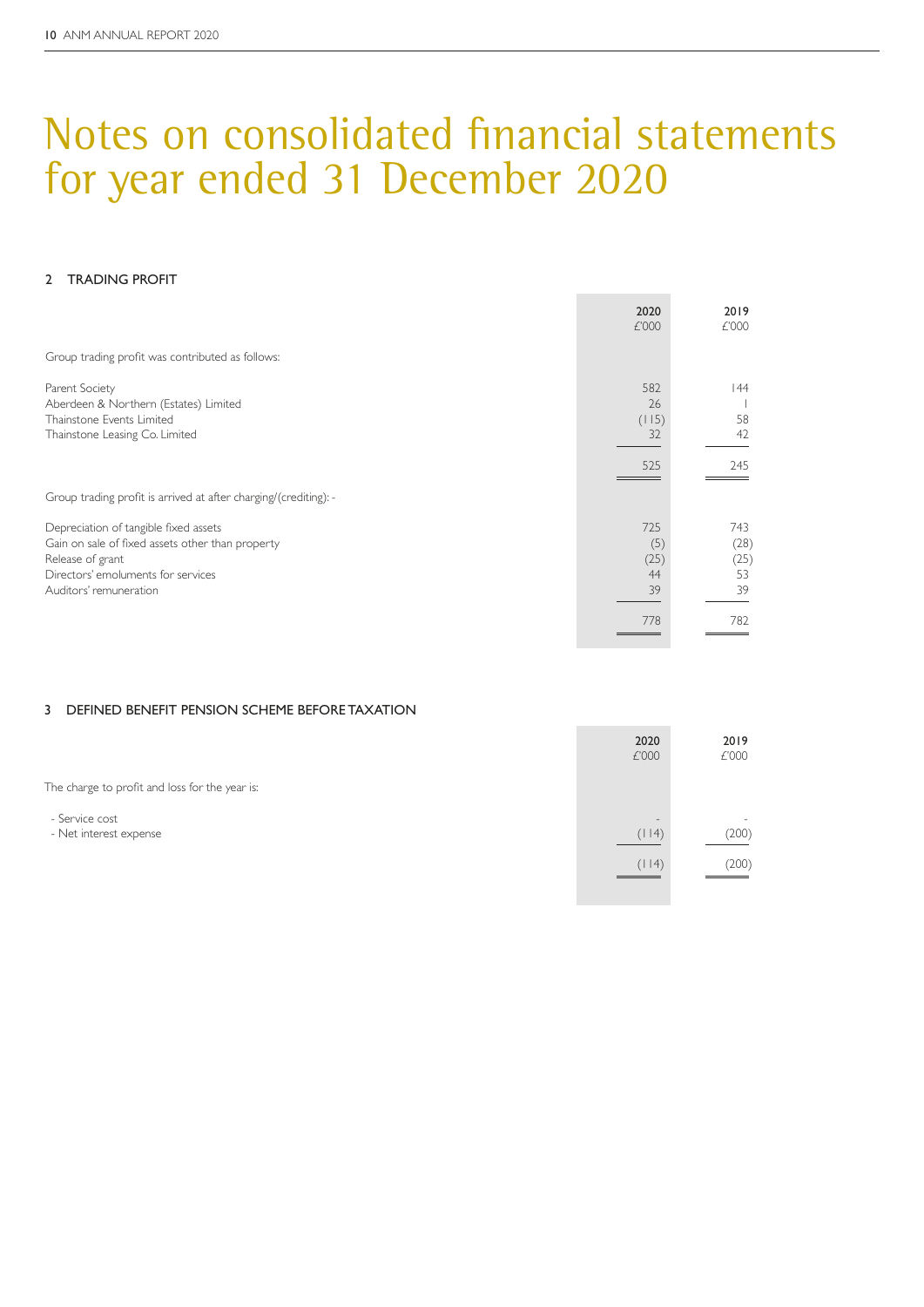### 2 TRADING PROFIT

|                                                                                                                                                                               | 2020<br>£'000                  | 2019<br>£'000                   |
|-------------------------------------------------------------------------------------------------------------------------------------------------------------------------------|--------------------------------|---------------------------------|
| Group trading profit was contributed as follows:                                                                                                                              |                                |                                 |
| Parent Society<br>Aberdeen & Northern (Estates) Limited<br>Thainstone Events Limited<br>Thainstone Leasing Co. Limited                                                        | 582<br>26<br>(115)<br>32       | 44<br>58<br>42                  |
|                                                                                                                                                                               | 525                            | 245                             |
| Group trading profit is arrived at after charging/(crediting): -                                                                                                              |                                |                                 |
| Depreciation of tangible fixed assets<br>Gain on sale of fixed assets other than property<br>Release of grant<br>Directors' emoluments for services<br>Auditors' remuneration | 725<br>(5)<br>(25)<br>44<br>39 | 743<br>(28)<br>(25)<br>53<br>39 |
|                                                                                                                                                                               | 778                            | 782                             |

### 3 DEFINED BENEFIT PENSION SCHEME BEFORE TAXATION

|                                                | 2020<br>£'000                     | 2019<br>£'000                     |
|------------------------------------------------|-----------------------------------|-----------------------------------|
| The charge to profit and loss for the year is: |                                   |                                   |
| - Service cost<br>- Net interest expense       | $\overline{\phantom{a}}$<br>(114) | $\overline{\phantom{0}}$<br>(200) |
|                                                | (114)<br>___                      | (200)                             |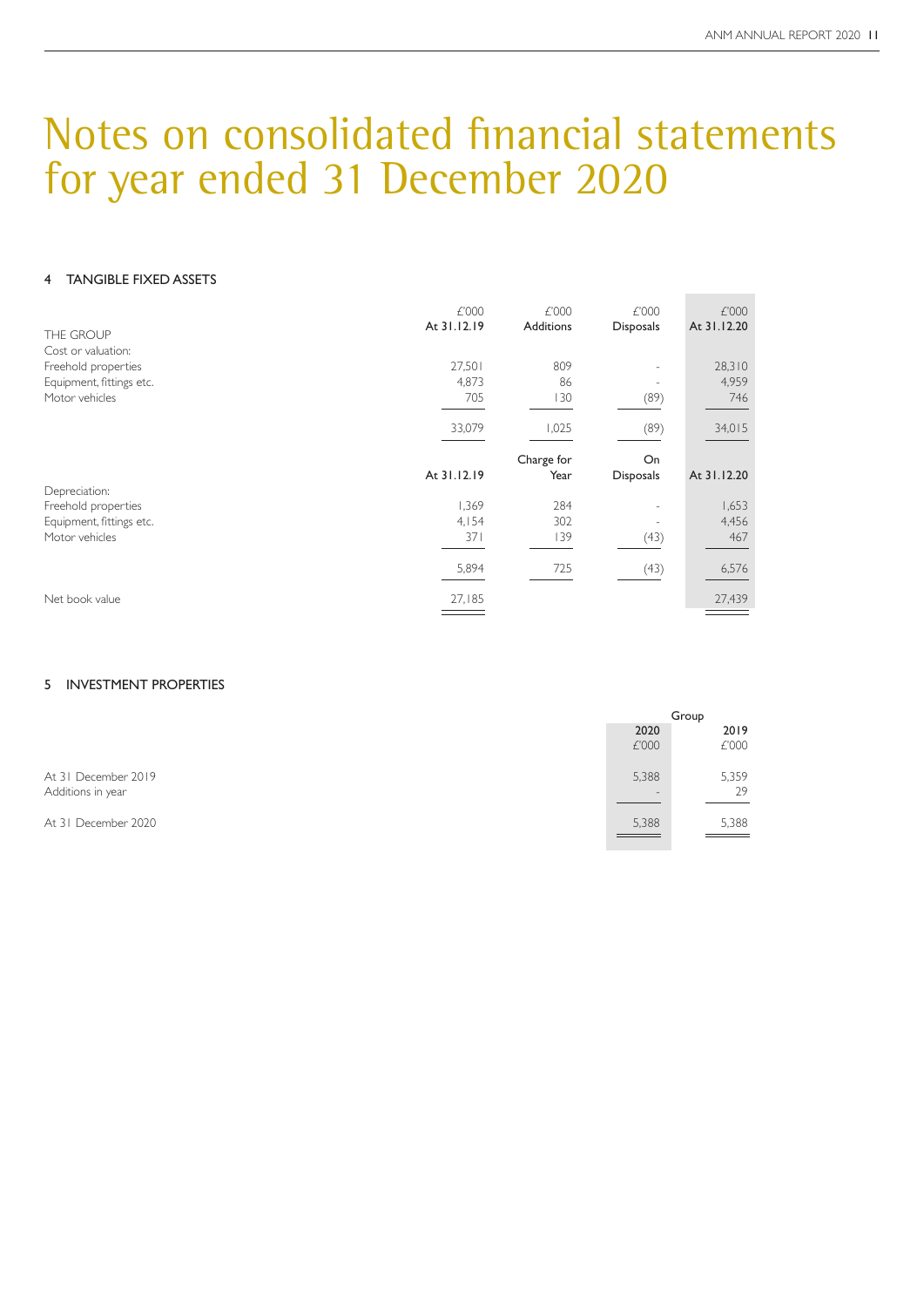### 4 TANGIBLE FIXED ASSETS

| THE GROUP                                 | £'000<br>At 31.12.19 | £'000<br><b>Additions</b> | £'000<br>Disposals       | £'000<br>At 31.12.20 |
|-------------------------------------------|----------------------|---------------------------|--------------------------|----------------------|
| Cost or valuation:<br>Freehold properties | 27,501               | 809                       |                          | 28,310               |
| Equipment, fittings etc.                  | 4,873                | 86                        |                          | 4,959                |
| Motor vehicles                            | 705                  | 130                       | (89)                     | 746                  |
|                                           | 33,079               | 1,025                     | (89)                     | 34,015               |
|                                           |                      | Charge for                | On                       |                      |
|                                           | At 31.12.19          | Year                      | <b>Disposals</b>         | At 31.12.20          |
| Depreciation:<br>Freehold properties      | 1,369                | 284                       |                          | 1,653                |
| Equipment, fittings etc.                  | 4,154                | 302                       | $\overline{\phantom{a}}$ | 4,456                |
| Motor vehicles                            | 371                  | 139                       | (43)                     | 467                  |
|                                           | 5,894                | 725                       | (43)                     | 6,576                |
|                                           |                      |                           |                          |                      |
| Net book value                            | 27,185               |                           |                          | 27,439               |

#### 5 INVESTMENT PROPERTIES

|                                          |               | Group         |
|------------------------------------------|---------------|---------------|
|                                          | 2020<br>£'000 | 2019<br>£'000 |
| At 31 December 2019<br>Additions in year | 5,388         | 5,359<br>29   |
| At 31 December 2020                      | 5,388         | 5,388         |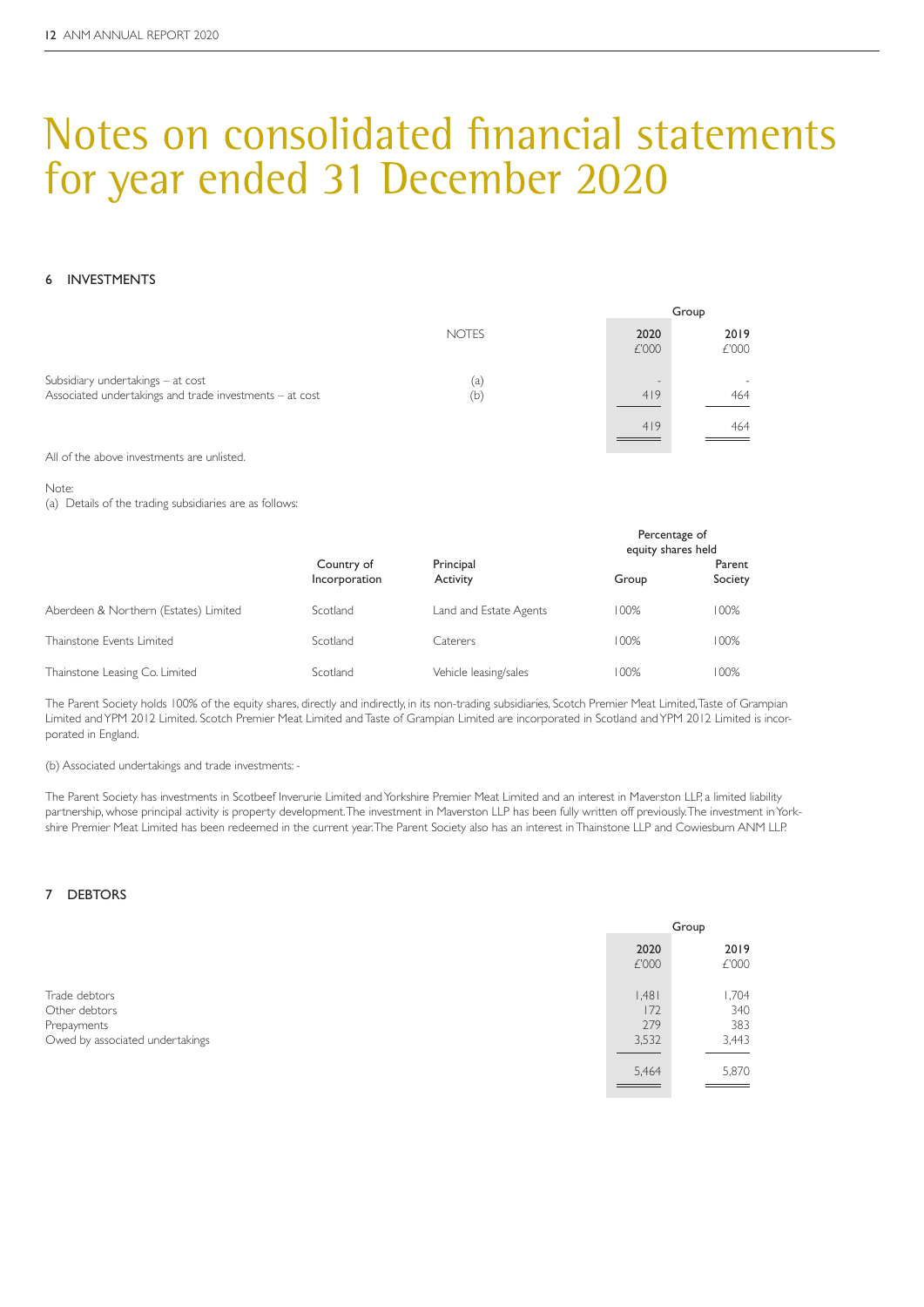#### 6 INVESTMENTS

|                                                                                              |              |                        | Group         |
|----------------------------------------------------------------------------------------------|--------------|------------------------|---------------|
|                                                                                              | <b>NOTES</b> | 2020<br>£'000          | 2019<br>£'000 |
| Subsidiary undertakings – at cost<br>Associated undertakings and trade investments - at cost | (a)<br>(b)   | $\qquad \qquad$<br>419 | 464           |
|                                                                                              |              | 419                    | 464           |

All of the above investments are unlisted.

Note:

(a) Details of the trading subsidiaries are as follows:

|                                       |                             |                        | Percentage of<br>equity shares held |                   |
|---------------------------------------|-----------------------------|------------------------|-------------------------------------|-------------------|
|                                       | Country of<br>Incorporation | Principal<br>Activity  | Group                               | Parent<br>Society |
| Aberdeen & Northern (Estates) Limited | Scotland                    | Land and Estate Agents | 100%                                | 100%              |
| Thainstone Events Limited             | Scotland                    | Caterers               | 100%                                | 100%              |
| Thainstone Leasing Co. Limited        | Scotland                    | Vehicle leasing/sales  | 100%                                | 100%              |

The Parent Society holds 100% of the equity shares, directly and indirectly, in its non-trading subsidiaries, Scotch Premier Meat Limited, Taste of Grampian Limited and YPM 2012 Limited. Scotch Premier Meat Limited and Taste of Grampian Limited are incorporated in Scotland and YPM 2012 Limited is incorporated in England.

(b) Associated undertakings and trade investments: -

The Parent Society has investments in Scotbeef Inverurie Limited and Yorkshire Premier Meat Limited and an interest in Maverston LLP, a limited liability partnership, whose principal activity is property development. The investment in Maverston LLP has been fully written off previously. The investment in Yorkshire Premier Meat Limited has been redeemed in the current year. The Parent Society also has an interest in Thainstone LLP and Cowiesburn ANM LLP.

### 7 DEBTORS

|                                                                                  |                              | Group                               |
|----------------------------------------------------------------------------------|------------------------------|-------------------------------------|
|                                                                                  | 2020<br>£'000                | 2019<br>£'000                       |
| Trade debtors<br>Other debtors<br>Prepayments<br>Owed by associated undertakings | 1.481<br>172<br>279<br>3,532 | <b>1,704</b><br>340<br>383<br>3,443 |
|                                                                                  | 5,464                        | 5,870                               |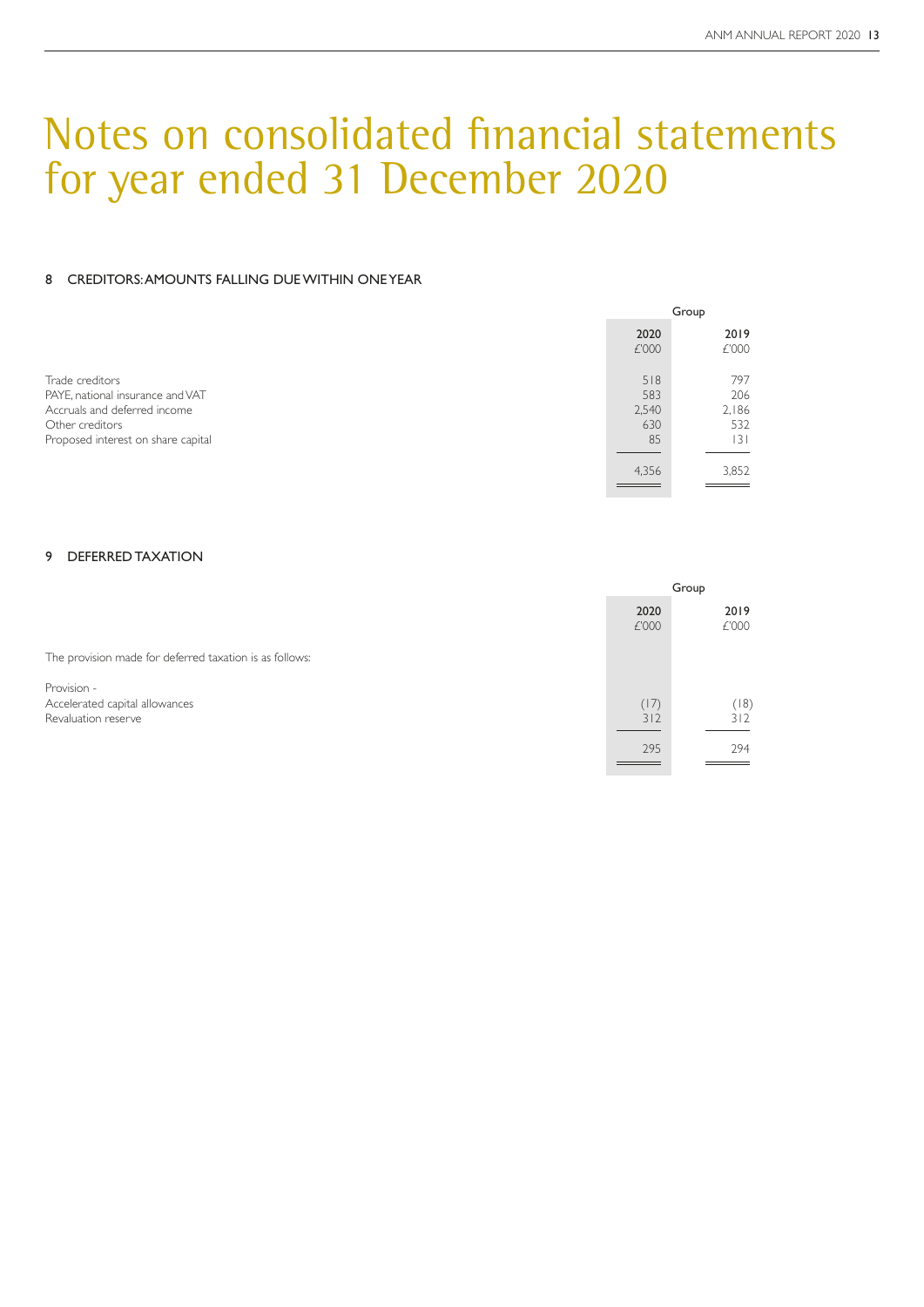#### 8 CREDITORS: AMOUNTS FALLING DUE WITHIN ONE YEAR

|                                                                                                                                              | Group                            |                                  |
|----------------------------------------------------------------------------------------------------------------------------------------------|----------------------------------|----------------------------------|
|                                                                                                                                              | 2020<br>£'000                    | 2019<br>£'000                    |
| Trade creditors<br>PAYE, national insurance and VAT<br>Accruals and deferred income<br>Other creditors<br>Proposed interest on share capital | 518<br>583<br>2,540<br>630<br>85 | 797<br>206<br>2,186<br>532<br> 3 |
|                                                                                                                                              | 4,356                            | 3,852                            |

### 9 DEFERRED TAXATION

|                                                                      | Group              |                    |
|----------------------------------------------------------------------|--------------------|--------------------|
|                                                                      | 2020<br>£'000      | 2019<br>£'000      |
| The provision made for deferred taxation is as follows:              |                    |                    |
| Provision -<br>Accelerated capital allowances<br>Revaluation reserve | (17)<br>312<br>295 | (18)<br>312<br>294 |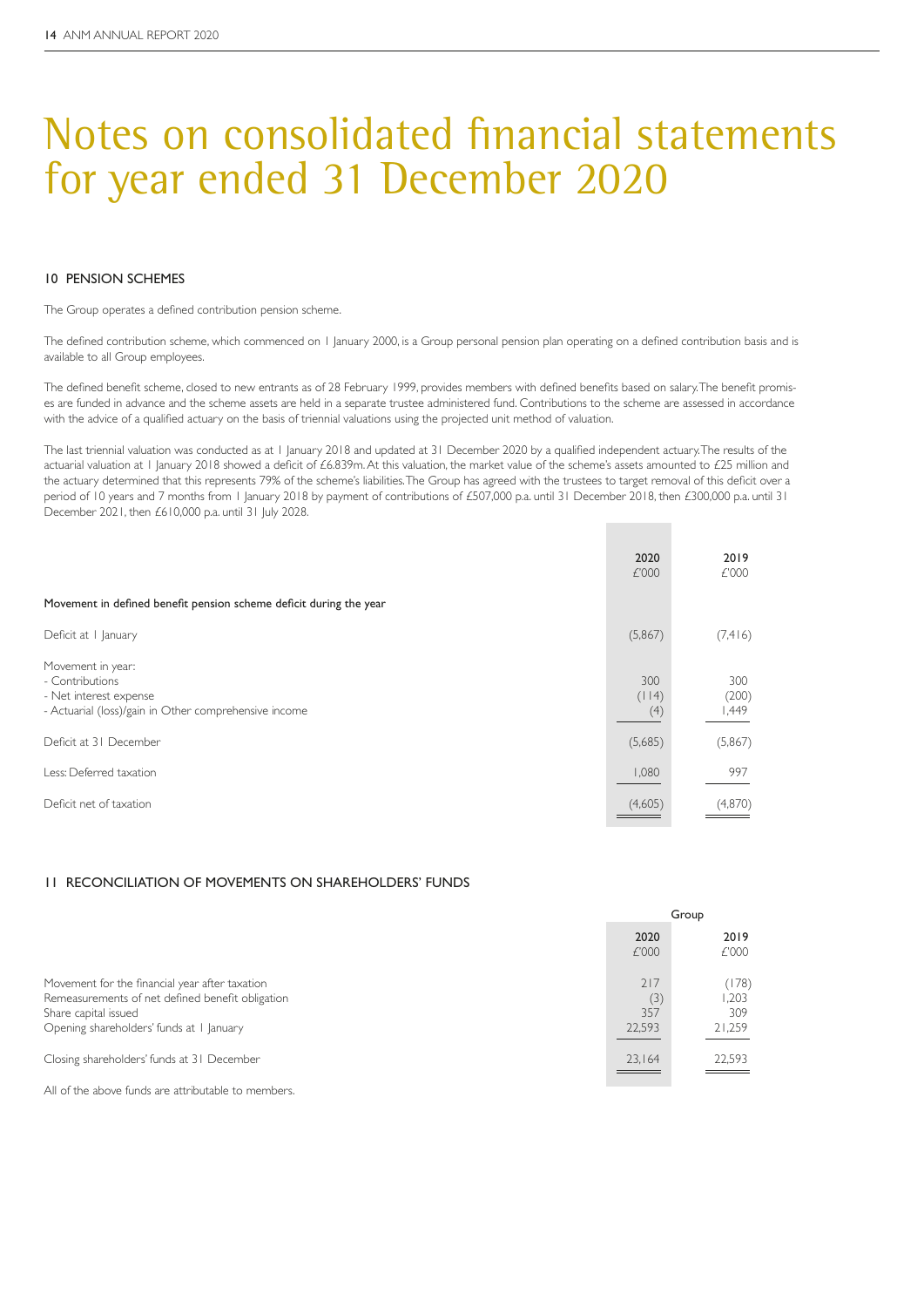#### 10 PENSION SCHEMES

The Group operates a defined contribution pension scheme.

The defined contribution scheme, which commenced on 1 January 2000, is a Group personal pension plan operating on a defined contribution basis and is available to all Group employees.

The defined benefit scheme, closed to new entrants as of 28 February 1999, provides members with defined benefits based on salary. The benefit promises are funded in advance and the scheme assets are held in a separate trustee administered fund. Contributions to the scheme are assessed in accordance with the advice of a qualified actuary on the basis of triennial valuations using the projected unit method of valuation.

The last triennial valuation was conducted as at 1 January 2018 and updated at 31 December 2020 by a qualified independent actuary. The results of the actuarial valuation at 1 January 2018 showed a deficit of £6.839m. At this valuation, the market value of the scheme's assets amounted to £25 million and the actuary determined that this represents 79% of the scheme's liabilities. The Group has agreed with the trustees to target removal of this deficit over a period of 10 years and 7 months from 1 January 2018 by payment of contributions of £507,000 p.a. until 31 December 2018, then £300,000 p.a. until 31 December 2021, then £610,000 p.a. until 31 July 2028.

|                                                                                                                         | 2020<br>£'000       | 2019<br>£'000         |
|-------------------------------------------------------------------------------------------------------------------------|---------------------|-----------------------|
| Movement in defined benefit pension scheme deficit during the year                                                      |                     |                       |
| Deficit at    anuary                                                                                                    | (5,867)             | (7,416)               |
| Movement in year:<br>- Contributions<br>- Net interest expense<br>- Actuarial (loss)/gain in Other comprehensive income | 300<br>(114)<br>(4) | 300<br>(200)<br>1,449 |
| Deficit at 31 December                                                                                                  | (5,685)             | (5,867)               |
| Less: Deferred taxation                                                                                                 | 1,080               | 997                   |
| Deficit net of taxation                                                                                                 | (4,605)             | (4,870)               |

#### 11 RECONCILIATION OF MOVEMENTS ON SHAREHOLDERS' FUNDS

|                                                                                                                                                                        | Group                       |                                |
|------------------------------------------------------------------------------------------------------------------------------------------------------------------------|-----------------------------|--------------------------------|
|                                                                                                                                                                        | 2020<br>£'000               | 2019<br>£'000                  |
| Movement for the financial year after taxation<br>Remeasurements of net defined benefit obligation<br>Share capital issued<br>Opening shareholders' funds at I January | 217<br>(3)<br>357<br>22,593 | (178)<br>.203<br>309<br>21,259 |
| Closing shareholders' funds at 31 December                                                                                                                             | 23,164                      | 22,593                         |

All of the above funds are attributable to members.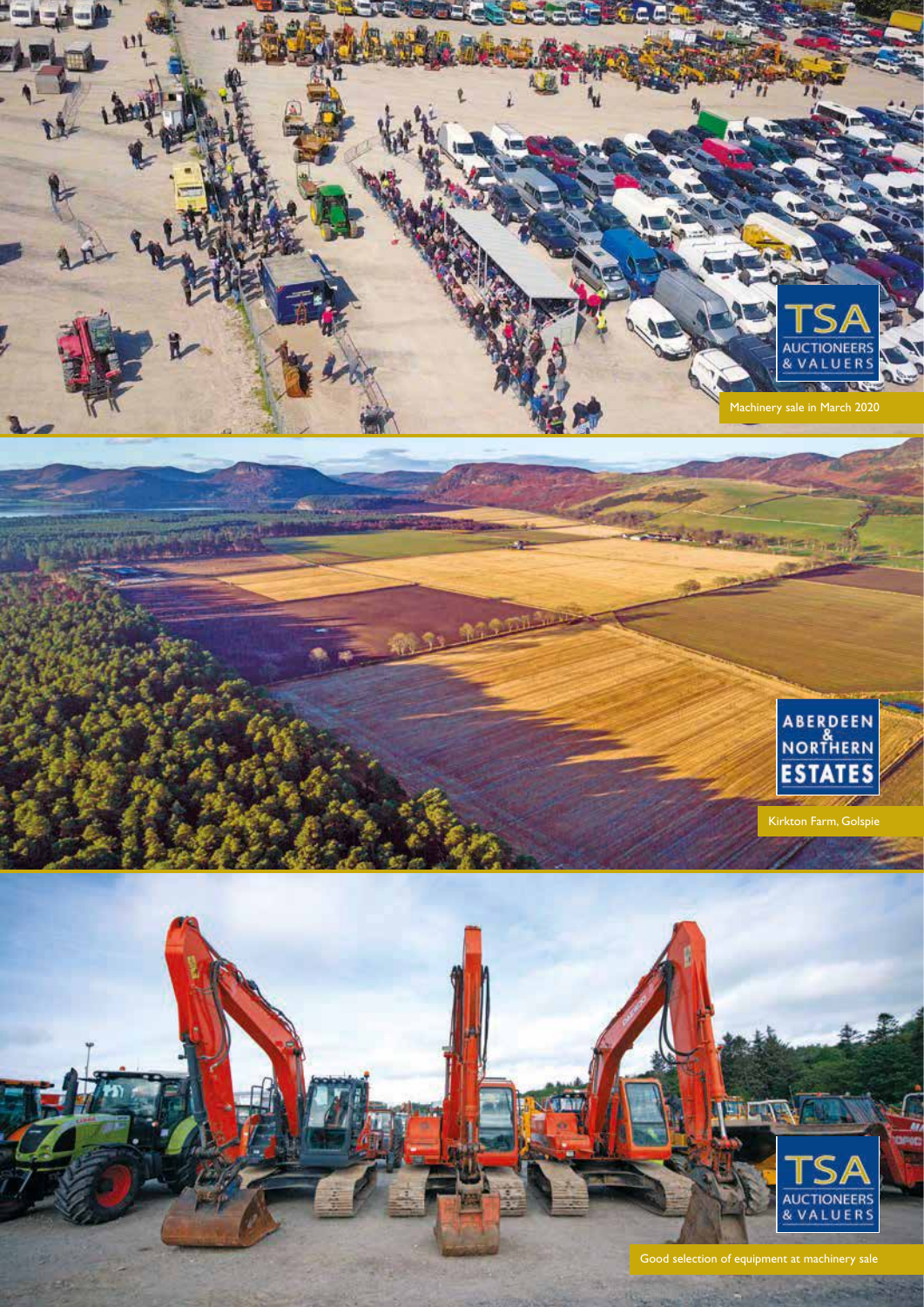